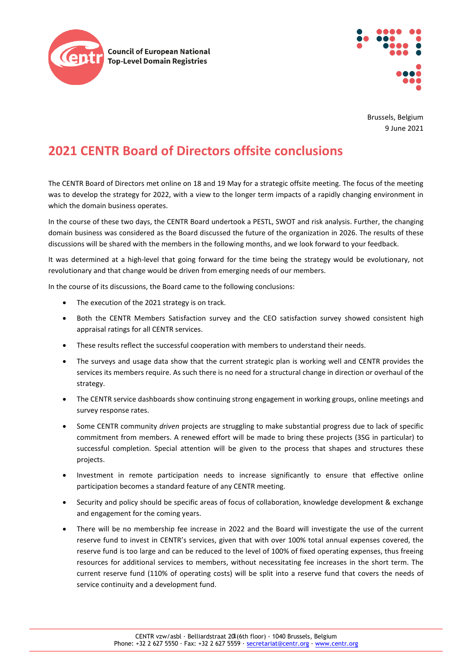



Brussels, Belgium 9 June 2021

## **2021 CENTR Board of Directors offsite conclusions**

The CENTR Board of Directors met online on 18 and 19 May for a strategic offsite meeting. The focus of the meeting was to develop the strategy for 2022, with a view to the longer term impacts of a rapidly changing environment in which the domain business operates.

In the course of these two days, the CENTR Board undertook a PESTL, SWOT and risk analysis. Further, the changing domain business was considered as the Board discussed the future of the organization in 2026. The results of these discussions will be shared with the members in the following months, and we look forward to your feedback.

It was determined at a high-level that going forward for the time being the strategy would be evolutionary, not revolutionary and that change would be driven from emerging needs of our members.

In the course of its discussions, the Board came to the following conclusions:

- The execution of the 2021 strategy is on track.
- Both the CENTR Members Satisfaction survey and the CEO satisfaction survey showed consistent high appraisal ratings for all CENTR services.
- These results reflect the successful cooperation with members to understand their needs.
- The surveys and usage data show that the current strategic plan is working well and CENTR provides the services its members require. As such there is no need for a structural change in direction or overhaul of the strategy.
- The CENTR service dashboards show continuing strong engagement in working groups, online meetings and survey response rates.
- Some CENTR community *driven* projects are struggling to make substantial progress due to lack of specific commitment from members. A renewed effort will be made to bring these projects (3SG in particular) to successful completion. Special attention will be given to the process that shapes and structures these projects.
- Investment in remote participation needs to increase significantly to ensure that effective online participation becomes a standard feature of any CENTR meeting.
- Security and policy should be specific areas of focus of collaboration, knowledge development & exchange and engagement for the coming years.
- There will be no membership fee increase in 2022 and the Board will investigate the use of the current reserve fund to invest in CENTR's services, given that with over 100% total annual expenses covered, the reserve fund is too large and can be reduced to the level of 100% of fixed operating expenses, thus freeing resources for additional services to members, without necessitating fee increases in the short term. The current reserve fund (110% of operating costs) will be split into a reserve fund that covers the needs of service continuity and a development fund.